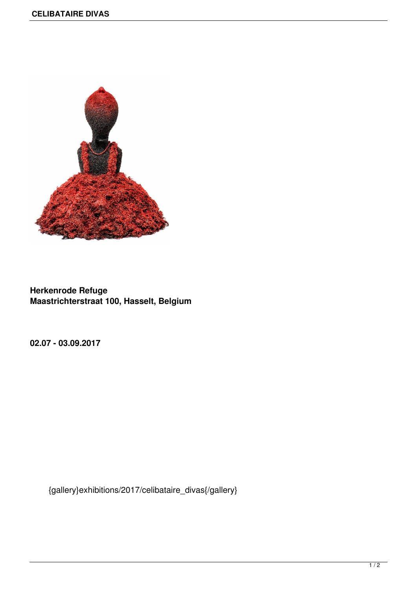

**Herkenrode Refuge Maastrichterstraat 100, Hasselt, Belgium**

**02.07 - 03.09.2017**

{gallery}exhibitions/2017/celibataire\_divas{/gallery}